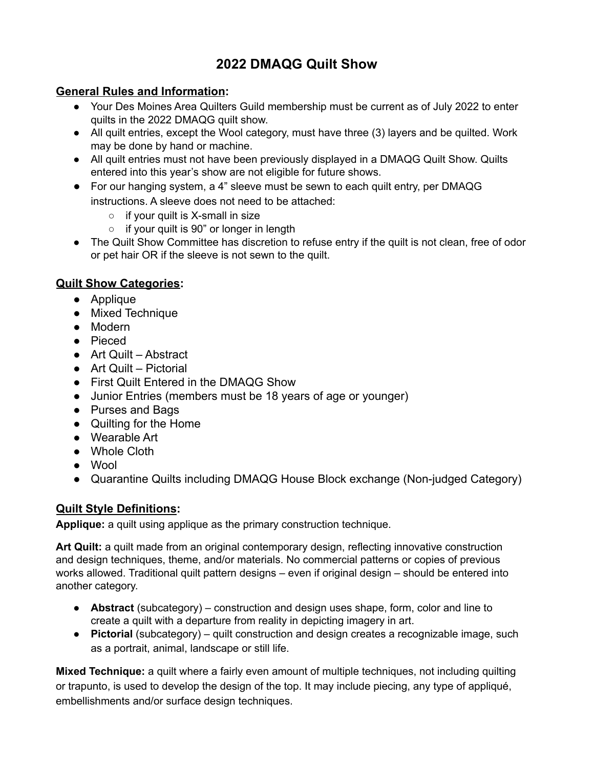# **2022 DMAQG Quilt Show**

### **General Rules and Information:**

- Your Des Moines Area Quilters Guild membership must be current as of July 2022 to enter quilts in the 2022 DMAQG quilt show.
- All quilt entries, except the Wool category, must have three (3) layers and be quilted. Work may be done by hand or machine.
- All quilt entries must not have been previously displayed in a DMAQG Quilt Show. Quilts entered into this year's show are not eligible for future shows.
- For our hanging system, a 4" sleeve must be sewn to each quilt entry, per DMAQG instructions. A sleeve does not need to be attached:
	- $\circ$  if your quilt is X-small in size
	- if your quilt is 90" or longer in length
- The Quilt Show Committee has discretion to refuse entry if the quilt is not clean, free of odor or pet hair OR if the sleeve is not sewn to the quilt.

## **Quilt Show Categories:**

- Applique
- Mixed Technique
- Modern
- Pieced
- Art Quilt Abstract
- Art Quilt Pictorial
- First Quilt Entered in the DMAQG Show
- Junior Entries (members must be 18 years of age or younger)
- **●** Purses and Bags
- Quilting for the Home
- Wearable Art
- Whole Cloth
- Wool
- Quarantine Quilts including DMAQG House Block exchange (Non-judged Category)

## **Quilt Style Definitions:**

**Applique:** a quilt using applique as the primary construction technique.

**Art Quilt:** a quilt made from an original contemporary design, reflecting innovative construction and design techniques, theme, and/or materials. No commercial patterns or copies of previous works allowed. Traditional quilt pattern designs – even if original design – should be entered into another category.

- **Abstract** (subcategory) construction and design uses shape, form, color and line to create a quilt with a departure from reality in depicting imagery in art.
- **Pictorial** (subcategory) quilt construction and design creates a recognizable image, such as a portrait, animal, landscape or still life.

**Mixed Technique:** a quilt where a fairly even amount of multiple techniques, not including quilting or trapunto, is used to develop the design of the top. It may include piecing, any type of appliqué, embellishments and/or surface design techniques.